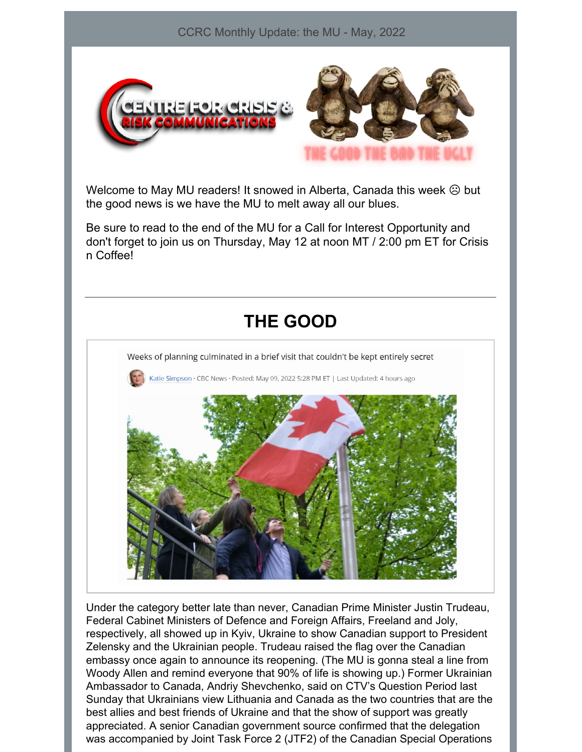

Welcome to May MU readers! It snowed in Alberta, Canada this week  $\odot$  but the good news is we have the MU to melt away all our blues.

Be sure to read to the end of the MU for a Call for Interest Opportunity and don't forget to join us on Thursday, May 12 at noon MT / 2:00 pm ET for Crisis n Coffee!

#### **THE GOOD**



Under the category better late than never, Canadian Prime Minister Justin Trudeau, Federal Cabinet Ministers of Defence and Foreign Affairs, Freeland and Joly, respectively, all showed up in Kyiv, Ukraine to show Canadian support to President Zelensky and the Ukrainian people. Trudeau raised the flag over the Canadian embassy once again to announce its reopening. (The MU is gonna steal a line from Woody Allen and remind everyone that 90% of life is showing up.) Former Ukrainian Ambassador to Canada, Andriy Shevchenko, said on CTV's Question Period last Sunday that Ukrainians view Lithuania and Canada as the two countries that are the best allies and best friends of Ukraine and that the show of support was greatly appreciated. A senior Canadian government source confirmed that the delegation was accompanied by Joint Task Force 2 (JTF2) of the Canadian Special Operations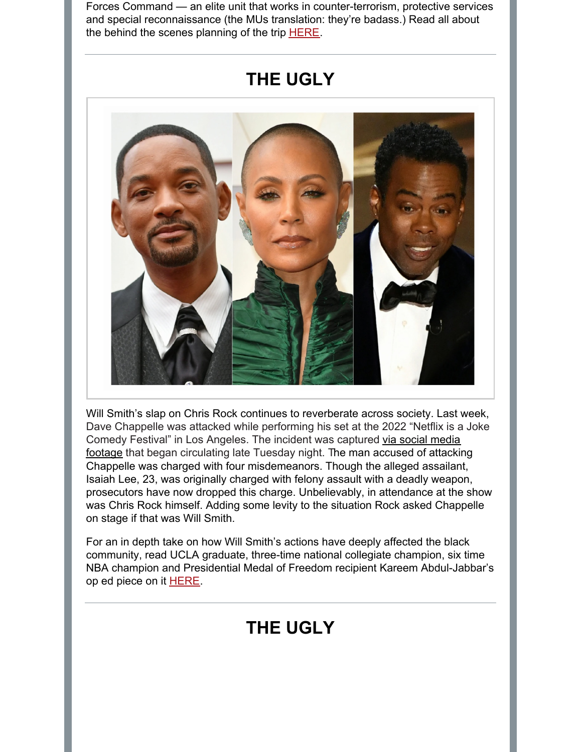Forces Command — an elite unit that works in counter-terrorism, protective services and special reconnaissance (the MUs translation: they're badass.) Read all about the behind the scenes planning of the trip [HERE](https://www.cbc.ca/news/politics/trudeau-zelensky-ukraine-visit-1.6447082).

## **THE UGLY**



Will Smith's slap on Chris Rock continues to reverberate across society. Last week, Dave Chappelle was attacked while performing his set at the 2022 "Netflix is a Joke Comedy Festival" in Los Angeles. The incident was captured via social media footage that began [circulating](https://twitter.com/DoZay1/status/1521730777460879361) late Tuesday night. The man accused of attacking Chappelle was charged with four misdemeanors. Though the alleged assailant, Isaiah Lee, 23, was originally charged with felony assault with a deadly weapon, prosecutors have now dropped this charge. Unbelievably, in attendance at the show was Chris Rock himself. Adding some levity to the situation Rock asked Chappelle on stage if that was Will Smith.

For an in depth take on how Will Smith's actions have deeply affected the black community, read UCLA graduate, three-time national collegiate champion, six time NBA champion and Presidential Medal of Freedom recipient Kareem Abdul-Jabbar's op ed piece on it [HERE](https://bit.ly/3N4BhXq).

# **THE UGLY**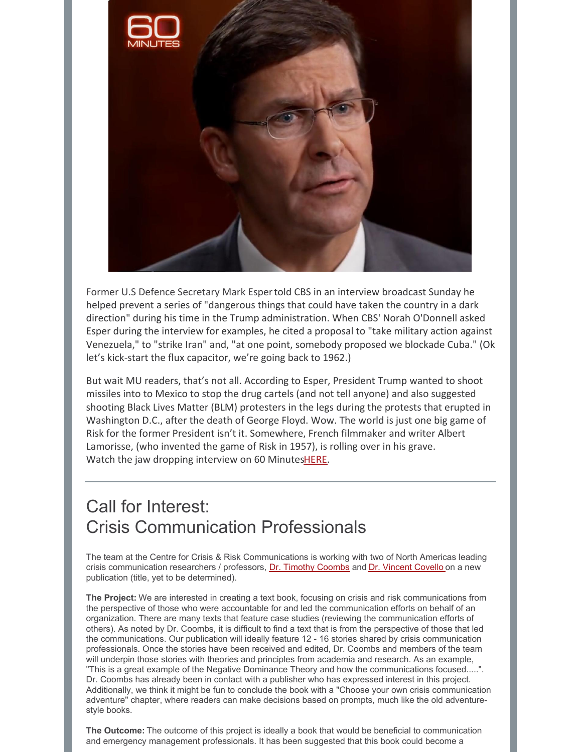

Former U.S Defence Secretary Mark Espertold CBS in an interview broadcast Sunday he helped prevent a series of "dangerous things that could have taken the country in a dark direction" during his time in the Trump administration. When CBS' Norah O'Donnell asked Esper during the interview for examples, he cited a proposal to "take military action against Venezuela," to "strike Iran" and, "at one point, somebody proposed we blockade Cuba." (Ok let's kick-start the flux capacitor, we're going back to 1962.)

But wait MU readers, that's not all. According to Esper, President Trump wanted to shoot missiles into to Mexico to stop the drug cartels (and not tell anyone) and also suggested shooting Black Lives Matter (BLM) protesters in the legs during the protests that erupted in Washington D.C., after the death of George Floyd. Wow. The world is just one big game of Risk for the former President isn't it. Somewhere, French filmmaker and writer Albert Lamorisse, (who invented the game of Risk in 1957), is rolling over in his grave. Watch the jaw dropping interview on 60 Minute[sHERE](https://www.cbsnews.com/video/mark-esper-donald-trump-a-sacred-oath-60-minutes-video-2022-05-08/).

### Call for Interest: Crisis Communication Professionals

The team at the Centre for Crisis & Risk Communications is working with two of North Americas leading crisis communication researchers / professors, Dr. Timothy [Coombs](https://centreforcrisiscommunications.com/advisory-board/) and Dr. [Vincent](https://centreforcrisiscommunications.com/advisory-board/) Covello on a new publication (title, yet to be determined).

**The Project:** We are interested in creating a text book, focusing on crisis and risk communications from the perspective of those who were accountable for and led the communication efforts on behalf of an organization. There are many texts that feature case studies (reviewing the communication efforts of others). As noted by Dr. Coombs, it is difficult to find a text that is from the perspective of those that led the communications. Our publication will ideally feature 12 - 16 stories shared by crisis communication professionals. Once the stories have been received and edited, Dr. Coombs and members of the team will underpin those stories with theories and principles from academia and research. As an example, "This is a great example of the Negative Dominance Theory and how the communications focused.....". Dr. Coombs has already been in contact with a publisher who has expressed interest in this project. Additionally, we think it might be fun to conclude the book with a "Choose your own crisis communication adventure" chapter, where readers can make decisions based on prompts, much like the old adventurestyle books.

**The Outcome:** The outcome of this project is ideally a book that would be beneficial to communication and emergency management professionals. It has been suggested that this book could become a